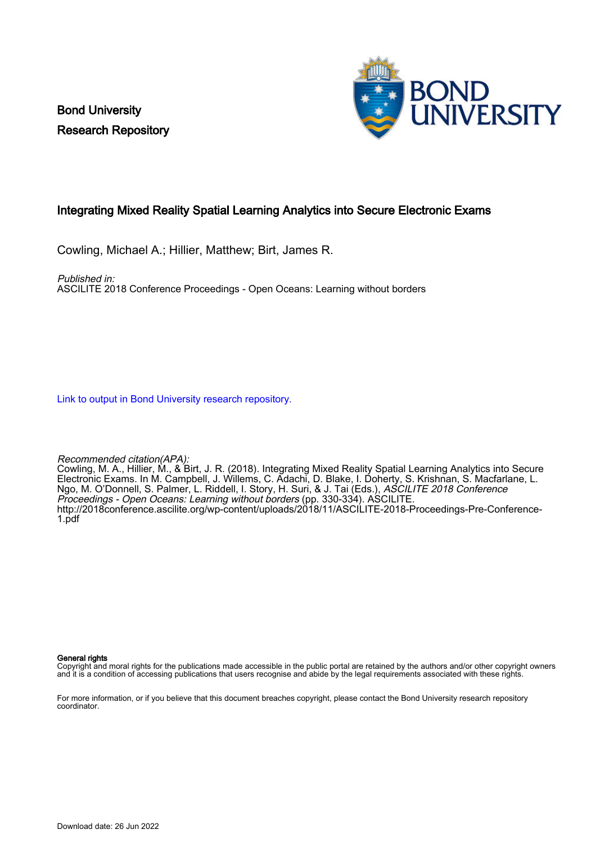Bond University Research Repository



# Integrating Mixed Reality Spatial Learning Analytics into Secure Electronic Exams

Cowling, Michael A.; Hillier, Matthew; Birt, James R.

Published in:

ASCILITE 2018 Conference Proceedings - Open Oceans: Learning without borders

[Link to output in Bond University research repository.](https://research.bond.edu.au/en/publications/dd174f6b-6510-499c-bcf0-44e58d7ee121)

Recommended citation(APA):

Cowling, M. A., Hillier, M., & Birt, J. R. (2018). Integrating Mixed Reality Spatial Learning Analytics into Secure Electronic Exams. In M. Campbell, J. Willems, C. Adachi, D. Blake, I. Doherty, S. Krishnan, S. Macfarlane, L. Ngo, M. O'Donnell, S. Palmer, L. Riddell, I. Story, H. Suri, & J. Tai (Eds.), *ASCILITE 2018 Conference* Proceedings - Open Oceans: Learning without borders (pp. 330-334). ASCILITE. [http://2018conference.ascilite.org/wp-content/uploads/2018/11/ASCILITE-2018-Proceedings-Pre-Conference-](http://2018conference.ascilite.org/wp-content/uploads/2018/11/ASCILITE-2018-Proceedings-Pre-Conference-1.pdf)[1.pdf](http://2018conference.ascilite.org/wp-content/uploads/2018/11/ASCILITE-2018-Proceedings-Pre-Conference-1.pdf)

General rights

Copyright and moral rights for the publications made accessible in the public portal are retained by the authors and/or other copyright owners and it is a condition of accessing publications that users recognise and abide by the legal requirements associated with these rights.

For more information, or if you believe that this document breaches copyright, please contact the Bond University research repository coordinator.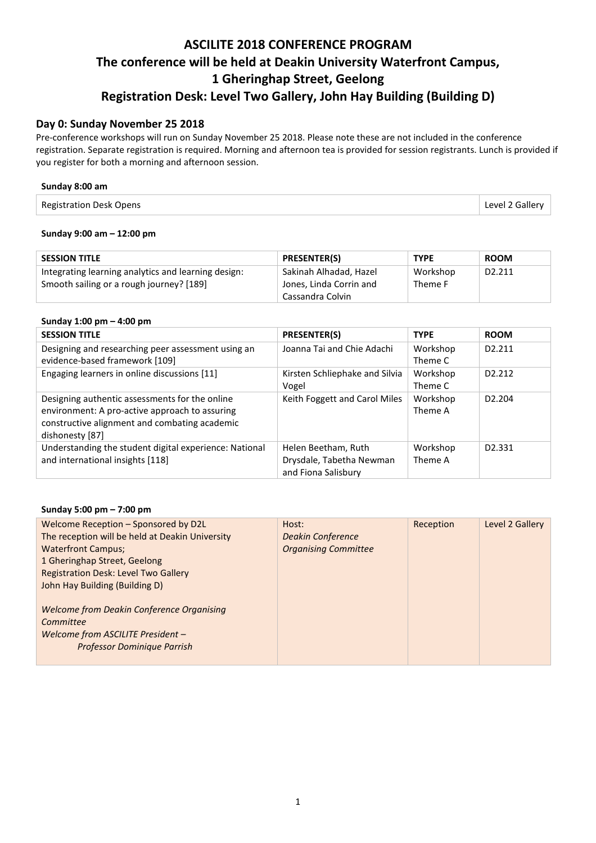# **ASCILITE 2018 CONFERENCE PROGRAM The conference will be held at Deakin University Waterfront Campus, 1 Gheringhap Street, Geelong Registration Desk: Level Two Gallery, John Hay Building (Building D)**

## **Day 0: Sunday November 25 2018**

Pre-conference workshops will run on Sunday November 25 2018. Please note these are not included in the conference registration. Separate registration is required. Morning and afternoon tea is provided for session registrants. Lunch is provided if you register for both a morning and afternoon session.

### **Sunday 8:00 am**

| <b>Registration Desk Opens</b> | Level 2 Gallery |
|--------------------------------|-----------------|
|--------------------------------|-----------------|

### **Sunday 9:00 am – 12:00 pm**

| <b>SESSION TITLE</b>                                                                            | <b>PRESENTER(S)</b>                               | <b>TYPE</b>         | <b>ROOM</b>         |
|-------------------------------------------------------------------------------------------------|---------------------------------------------------|---------------------|---------------------|
| Integrating learning analytics and learning design:<br>Smooth sailing or a rough journey? [189] | Sakinah Alhadad, Hazel<br>Jones, Linda Corrin and | Workshop<br>Theme F | D <sub>2</sub> .211 |
|                                                                                                 | Cassandra Colvin                                  |                     |                     |

### **Sunday 1:00 pm – 4:00 pm**

| <b>SESSION TITLE</b>                                                                                                                                                 | <b>PRESENTER(S)</b>                                                    | <b>TYPE</b>         | <b>ROOM</b>         |
|----------------------------------------------------------------------------------------------------------------------------------------------------------------------|------------------------------------------------------------------------|---------------------|---------------------|
| Designing and researching peer assessment using an<br>evidence-based framework [109]                                                                                 | Joanna Tai and Chie Adachi                                             | Workshop<br>Theme C | D <sub>2</sub> .211 |
| Engaging learners in online discussions [11]                                                                                                                         | Kirsten Schliephake and Silvia<br>Vogel                                | Workshop<br>Theme C | D <sub>2</sub> .212 |
| Designing authentic assessments for the online<br>environment: A pro-active approach to assuring<br>constructive alignment and combating academic<br>dishonesty [87] | Keith Foggett and Carol Miles                                          | Workshop<br>Theme A | D <sub>2.204</sub>  |
| Understanding the student digital experience: National<br>and international insights [118]                                                                           | Helen Beetham, Ruth<br>Drysdale, Tabetha Newman<br>and Fiona Salisbury | Workshop<br>Theme A | D <sub>2</sub> .331 |

### **Sunday 5:00 pm – 7:00 pm**

| Welcome Reception - Sponsored by D2L             | Host:                       | Reception | Level 2 Gallery |
|--------------------------------------------------|-----------------------------|-----------|-----------------|
| The reception will be held at Deakin University  | <b>Deakin Conference</b>    |           |                 |
| <b>Waterfront Campus;</b>                        | <b>Organising Committee</b> |           |                 |
| 1 Gheringhap Street, Geelong                     |                             |           |                 |
| <b>Registration Desk: Level Two Gallery</b>      |                             |           |                 |
| John Hay Building (Building D)                   |                             |           |                 |
|                                                  |                             |           |                 |
| <b>Welcome from Deakin Conference Organising</b> |                             |           |                 |
| Committee                                        |                             |           |                 |
| Welcome from ASCILITE President -                |                             |           |                 |
| <b>Professor Dominique Parrish</b>               |                             |           |                 |
|                                                  |                             |           |                 |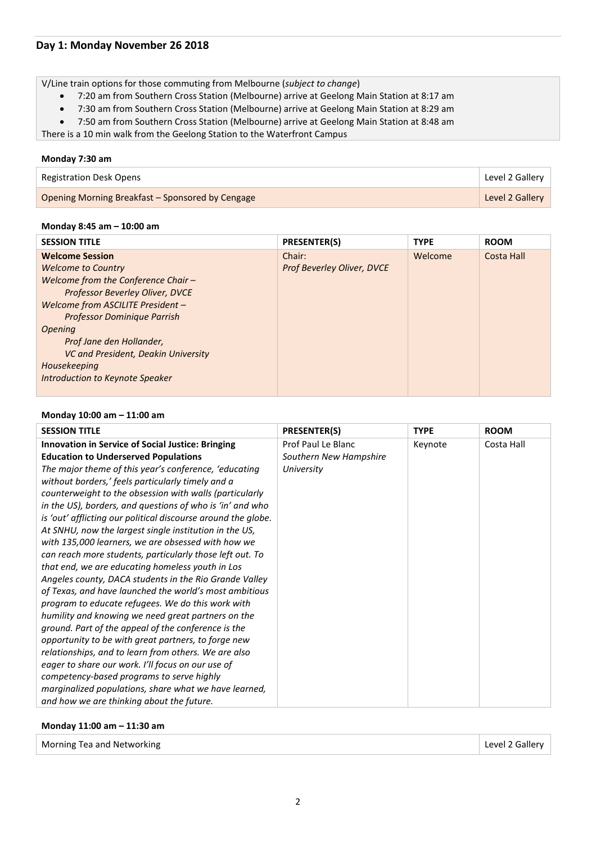## **Day 1: Monday November 26 2018**

V/Line train options for those commuting from Melbourne (*subject to change*)

- 7:20 am from Southern Cross Station (Melbourne) arrive at Geelong Main Station at 8:17 am
- 7:30 am from Southern Cross Station (Melbourne) arrive at Geelong Main Station at 8:29 am
- 7:50 am from Southern Cross Station (Melbourne) arrive at Geelong Main Station at 8:48 am

There is a 10 min walk from the Geelong Station to the Waterfront Campus

### **Monday 7:30 am**

| <b>Registration Desk Opens</b>                   | Level 2 Gallery |
|--------------------------------------------------|-----------------|
| Opening Morning Breakfast - Sponsored by Cengage | Level 2 Gallery |

#### **Monday 8:45 am – 10:00 am**

| <b>SESSION TITLE</b>                   | <b>PRESENTER(S)</b>               | <b>TYPE</b> | <b>ROOM</b> |
|----------------------------------------|-----------------------------------|-------------|-------------|
| <b>Welcome Session</b>                 | Chair:                            | Welcome     | Costa Hall  |
| <b>Welcome to Country</b>              | <b>Prof Beverley Oliver, DVCE</b> |             |             |
| Welcome from the Conference Chair -    |                                   |             |             |
| <b>Professor Beverley Oliver, DVCE</b> |                                   |             |             |
| Welcome from ASCILITE President -      |                                   |             |             |
| Professor Dominique Parrish            |                                   |             |             |
| <i><b>Opening</b></i>                  |                                   |             |             |
| Prof Jane den Hollander,               |                                   |             |             |
| VC and President, Deakin University    |                                   |             |             |
| Housekeeping                           |                                   |             |             |
| Introduction to Keynote Speaker        |                                   |             |             |
|                                        |                                   |             |             |

## **Monday 10:00 am – 11:00 am**

| <b>SESSION TITLE</b>                                          | <b>PRESENTER(S)</b>    | <b>TYPE</b> | <b>ROOM</b> |
|---------------------------------------------------------------|------------------------|-------------|-------------|
| <b>Innovation in Service of Social Justice: Bringing</b>      | Prof Paul Le Blanc     | Keynote     | Costa Hall  |
| <b>Education to Underserved Populations</b>                   | Southern New Hampshire |             |             |
| The major theme of this year's conference, 'educating         | University             |             |             |
| without borders,' feels particularly timely and a             |                        |             |             |
| counterweight to the obsession with walls (particularly       |                        |             |             |
| in the US), borders, and questions of who is 'in' and who     |                        |             |             |
| is 'out' afflicting our political discourse around the globe. |                        |             |             |
| At SNHU, now the largest single institution in the US,        |                        |             |             |
| with 135,000 learners, we are obsessed with how we            |                        |             |             |
| can reach more students, particularly those left out. To      |                        |             |             |
| that end, we are educating homeless youth in Los              |                        |             |             |
| Angeles county, DACA students in the Rio Grande Valley        |                        |             |             |
| of Texas, and have launched the world's most ambitious        |                        |             |             |
| program to educate refugees. We do this work with             |                        |             |             |
| humility and knowing we need great partners on the            |                        |             |             |
| ground. Part of the appeal of the conference is the           |                        |             |             |
| opportunity to be with great partners, to forge new           |                        |             |             |
| relationships, and to learn from others. We are also          |                        |             |             |
| eager to share our work. I'll focus on our use of             |                        |             |             |
| competency-based programs to serve highly                     |                        |             |             |
| marginalized populations, share what we have learned,         |                        |             |             |
| and how we are thinking about the future.                     |                        |             |             |

#### **Monday 11:00 am – 11:30 am**

| Morning Tea and Networking | Level 2 Gallery |
|----------------------------|-----------------|
|----------------------------|-----------------|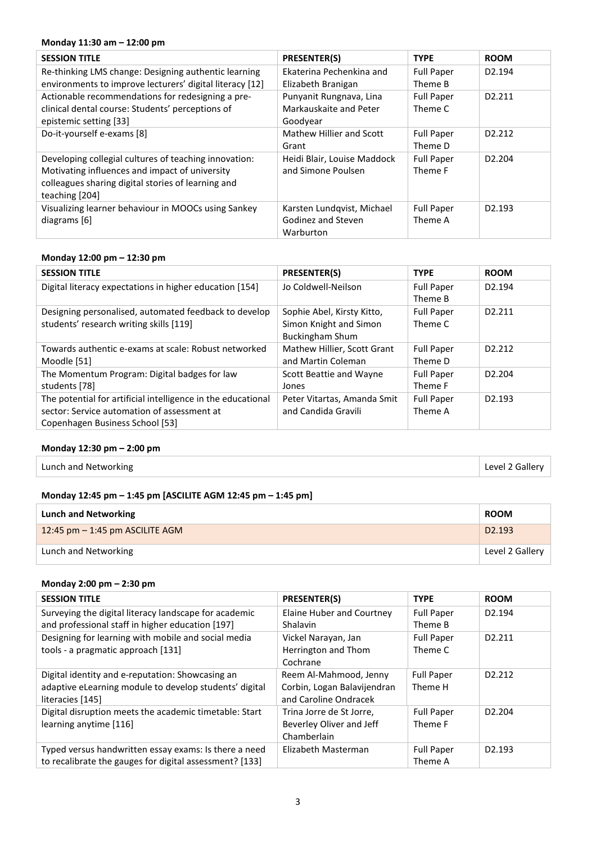## **Monday 11:30 am – 12:00 pm**

| <b>SESSION TITLE</b>                                     | <b>PRESENTER(S)</b>         | <b>TYPE</b>       | <b>ROOM</b>         |
|----------------------------------------------------------|-----------------------------|-------------------|---------------------|
| Re-thinking LMS change: Designing authentic learning     | Ekaterina Pechenkina and    | <b>Full Paper</b> | D <sub>2.194</sub>  |
| environments to improve lecturers' digital literacy [12] | Elizabeth Branigan          | Theme B           |                     |
| Actionable recommendations for redesigning a pre-        | Punyanit Rungnava, Lina     | <b>Full Paper</b> | D <sub>2</sub> .211 |
| clinical dental course: Students' perceptions of         | Markauskaite and Peter      | Theme C           |                     |
| epistemic setting [33]                                   | Goodyear                    |                   |                     |
| Do-it-yourself e-exams [8]                               | Mathew Hillier and Scott    | <b>Full Paper</b> | D <sub>2</sub> .212 |
|                                                          | Grant                       | Theme D           |                     |
| Developing collegial cultures of teaching innovation:    | Heidi Blair, Louise Maddock | <b>Full Paper</b> | D <sub>2</sub> .204 |
| Motivating influences and impact of university           | and Simone Poulsen          | Theme F           |                     |
| colleagues sharing digital stories of learning and       |                             |                   |                     |
| teaching [204]                                           |                             |                   |                     |
| Visualizing learner behaviour in MOOCs using Sankey      | Karsten Lundqvist, Michael  | <b>Full Paper</b> | D <sub>2</sub> .193 |
| diagrams [6]                                             | Godinez and Steven          | Theme A           |                     |
|                                                          | Warburton                   |                   |                     |

### **Monday 12:00 pm – 12:30 pm**

| <b>SESSION TITLE</b>                                         | <b>PRESENTER(S)</b>         | <b>TYPE</b>       | <b>ROOM</b>         |
|--------------------------------------------------------------|-----------------------------|-------------------|---------------------|
| Digital literacy expectations in higher education [154]      | Jo Coldwell-Neilson         | <b>Full Paper</b> | D <sub>2.194</sub>  |
|                                                              |                             | Theme B           |                     |
| Designing personalised, automated feedback to develop        | Sophie Abel, Kirsty Kitto,  | <b>Full Paper</b> | D <sub>2.211</sub>  |
| students' research writing skills [119]                      | Simon Knight and Simon      | Theme C           |                     |
|                                                              | Buckingham Shum             |                   |                     |
| Towards authentic e-exams at scale: Robust networked         | Mathew Hillier, Scott Grant | <b>Full Paper</b> | D <sub>2</sub> .212 |
| Moodle [51]                                                  | and Martin Coleman          | Theme D           |                     |
| The Momentum Program: Digital badges for law                 | Scott Beattie and Wayne     | <b>Full Paper</b> | D <sub>2.204</sub>  |
| students [78]                                                | Jones                       | Theme F           |                     |
| The potential for artificial intelligence in the educational | Peter Vitartas, Amanda Smit | <b>Full Paper</b> | D <sub>2.193</sub>  |
| sector: Service automation of assessment at                  | and Candida Gravili         | Theme A           |                     |
| Copenhagen Business School [53]                              |                             |                   |                     |

### **Monday 12:30 pm – 2:00 pm**

| Lunch and Networking | Level 2 Gallery |
|----------------------|-----------------|
|----------------------|-----------------|

## **Monday 12:45 pm – 1:45 pm [ASCILITE AGM 12:45 pm – 1:45 pm]**

| <b>Lunch and Networking</b>       | <b>ROOM</b>        |
|-----------------------------------|--------------------|
| 12:45 pm $-$ 1:45 pm ASCILITE AGM | D <sub>2.193</sub> |
| Lunch and Networking              | Level 2 Gallery    |

### **Monday 2:00 pm – 2:30 pm**

| <b>SESSION TITLE</b>                                    | <b>PRESENTER(S)</b>         | <b>TYPE</b>       | <b>ROOM</b>         |
|---------------------------------------------------------|-----------------------------|-------------------|---------------------|
| Surveying the digital literacy landscape for academic   | Elaine Huber and Courtney   | <b>Full Paper</b> | D <sub>2</sub> .194 |
| and professional staff in higher education [197]        | <b>Shalavin</b>             | Theme B           |                     |
| Designing for learning with mobile and social media     | Vickel Narayan, Jan         | <b>Full Paper</b> | D <sub>2</sub> .211 |
| tools - a pragmatic approach [131]                      | Herrington and Thom         | Theme C           |                     |
|                                                         | Cochrane                    |                   |                     |
| Digital identity and e-reputation: Showcasing an        | Reem Al-Mahmood, Jenny      | <b>Full Paper</b> | D <sub>2</sub> .212 |
| adaptive eLearning module to develop students' digital  | Corbin, Logan Balavijendran | Theme H           |                     |
| literacies [145]                                        | and Caroline Ondracek       |                   |                     |
| Digital disruption meets the academic timetable: Start  | Trina Jorre de St Jorre,    | <b>Full Paper</b> | D <sub>2.204</sub>  |
| learning anytime [116]                                  | Beverley Oliver and Jeff    | Theme F           |                     |
|                                                         | Chamberlain                 |                   |                     |
| Typed versus handwritten essay exams: Is there a need   | Elizabeth Masterman         | <b>Full Paper</b> | D <sub>2.193</sub>  |
| to recalibrate the gauges for digital assessment? [133] |                             | Theme A           |                     |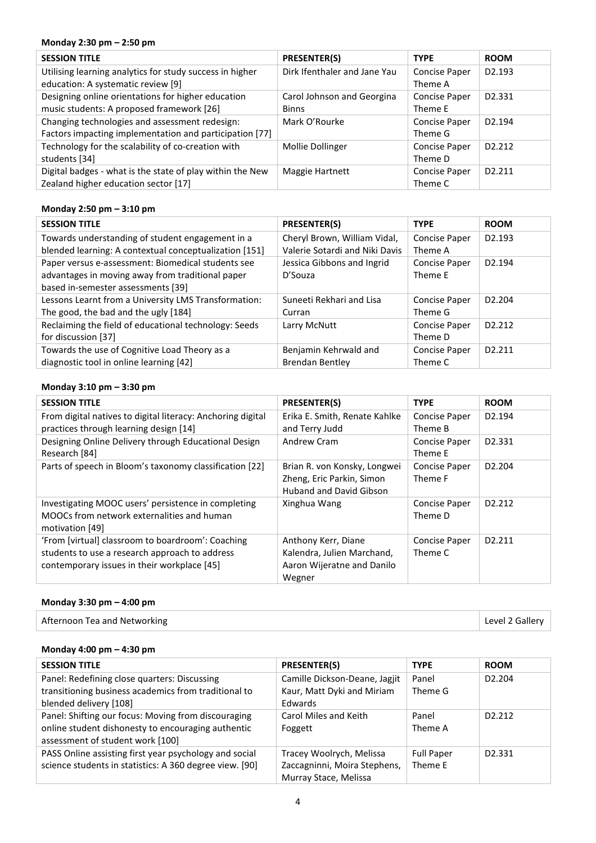## **Monday 2:30 pm – 2:50 pm**

| <b>SESSION TITLE</b>                                                                                      | <b>PRESENTER(S)</b>                        | <b>TYPE</b>                     | <b>ROOM</b>         |
|-----------------------------------------------------------------------------------------------------------|--------------------------------------------|---------------------------------|---------------------|
| Utilising learning analytics for study success in higher<br>education: A systematic review [9]            | Dirk Ifenthaler and Jane Yau               | <b>Concise Paper</b><br>Theme A | D <sub>2.193</sub>  |
| Designing online orientations for higher education<br>music students: A proposed framework [26]           | Carol Johnson and Georgina<br><b>Binns</b> | Concise Paper<br>Theme E        | D <sub>2</sub> .331 |
| Changing technologies and assessment redesign:<br>Factors impacting implementation and participation [77] | Mark O'Rourke                              | <b>Concise Paper</b><br>Theme G | D <sub>2</sub> .194 |
| Technology for the scalability of co-creation with<br>students [34]                                       | Mollie Dollinger                           | <b>Concise Paper</b><br>Theme D | D <sub>2</sub> .212 |
| Digital badges - what is the state of play within the New<br>Zealand higher education sector [17]         | Maggie Hartnett                            | <b>Concise Paper</b><br>Theme C | D <sub>2.211</sub>  |

# **Monday 2:50 pm – 3:10 pm**

| <b>SESSION TITLE</b>                                   | <b>PRESENTER(S)</b>            | <b>TYPE</b>          | <b>ROOM</b>         |
|--------------------------------------------------------|--------------------------------|----------------------|---------------------|
| Towards understanding of student engagement in a       | Cheryl Brown, William Vidal,   | Concise Paper        | D <sub>2.193</sub>  |
| blended learning: A contextual conceptualization [151] | Valerie Sotardi and Niki Davis | Theme A              |                     |
| Paper versus e-assessment: Biomedical students see     | Jessica Gibbons and Ingrid     | Concise Paper        | D <sub>2.194</sub>  |
| advantages in moving away from traditional paper       | D'Souza                        | Theme E              |                     |
| based in-semester assessments [39]                     |                                |                      |                     |
| Lessons Learnt from a University LMS Transformation:   | Suneeti Rekhari and Lisa       | Concise Paper        | D <sub>2.204</sub>  |
| The good, the bad and the ugly [184]                   | Curran                         | Theme G              |                     |
| Reclaiming the field of educational technology: Seeds  | Larry McNutt                   | Concise Paper        | D <sub>2</sub> .212 |
| for discussion [37]                                    |                                | Theme D              |                     |
| Towards the use of Cognitive Load Theory as a          | Benjamin Kehrwald and          | <b>Concise Paper</b> | D <sub>2</sub> .211 |
| diagnostic tool in online learning [42]                | Brendan Bentley                | Theme C              |                     |

# **Monday 3:10 pm – 3:30 pm**

| <b>SESSION TITLE</b>                                                                                                                               | <b>PRESENTER(S)</b>                                                                         | <b>TYPE</b>              | <b>ROOM</b>         |
|----------------------------------------------------------------------------------------------------------------------------------------------------|---------------------------------------------------------------------------------------------|--------------------------|---------------------|
| From digital natives to digital literacy: Anchoring digital<br>practices through learning design [14]                                              | Erika E. Smith, Renate Kahlke<br>and Terry Judd                                             | Concise Paper<br>Theme B | D <sub>2.194</sub>  |
| Designing Online Delivery through Educational Design<br>Research [84]                                                                              | Andrew Cram                                                                                 | Concise Paper<br>Theme E | D <sub>2</sub> .331 |
| Parts of speech in Bloom's taxonomy classification [22]                                                                                            | Brian R. von Konsky, Longwei<br>Zheng, Eric Parkin, Simon<br><b>Huband and David Gibson</b> | Concise Paper<br>Theme F | D <sub>2</sub> .204 |
| Investigating MOOC users' persistence in completing<br>MOOCs from network externalities and human<br>motivation [49]                               | Xinghua Wang                                                                                | Concise Paper<br>Theme D | D <sub>2</sub> .212 |
| 'From [virtual] classroom to boardroom': Coaching<br>students to use a research approach to address<br>contemporary issues in their workplace [45] | Anthony Kerr, Diane<br>Kalendra, Julien Marchand,<br>Aaron Wijeratne and Danilo<br>Wegner   | Concise Paper<br>Theme C | D <sub>2</sub> .211 |

## **Monday 3:30 pm – 4:00 pm**

| Afternoon Tea and Networking | Level 2 Gallery |
|------------------------------|-----------------|
|------------------------------|-----------------|

## **Monday 4:00 pm – 4:30 pm**

| <b>SESSION TITLE</b>                                    | <b>PRESENTER(S)</b>           | <b>TYPE</b>       | <b>ROOM</b>         |
|---------------------------------------------------------|-------------------------------|-------------------|---------------------|
| Panel: Redefining close quarters: Discussing            | Camille Dickson-Deane, Jagjit | Panel             | D <sub>2</sub> .204 |
| transitioning business academics from traditional to    | Kaur, Matt Dyki and Miriam    | Theme G           |                     |
| blended delivery [108]                                  | Edwards                       |                   |                     |
| Panel: Shifting our focus: Moving from discouraging     | Carol Miles and Keith         | Panel             | D <sub>2</sub> .212 |
| online student dishonesty to encouraging authentic      | Foggett                       | Theme A           |                     |
| assessment of student work [100]                        |                               |                   |                     |
| PASS Online assisting first year psychology and social  | Tracey Woolrych, Melissa      | <b>Full Paper</b> | D <sub>2</sub> .331 |
| science students in statistics: A 360 degree view. [90] | Zaccagninni, Moira Stephens,  | Theme E           |                     |
|                                                         | Murray Stace, Melissa         |                   |                     |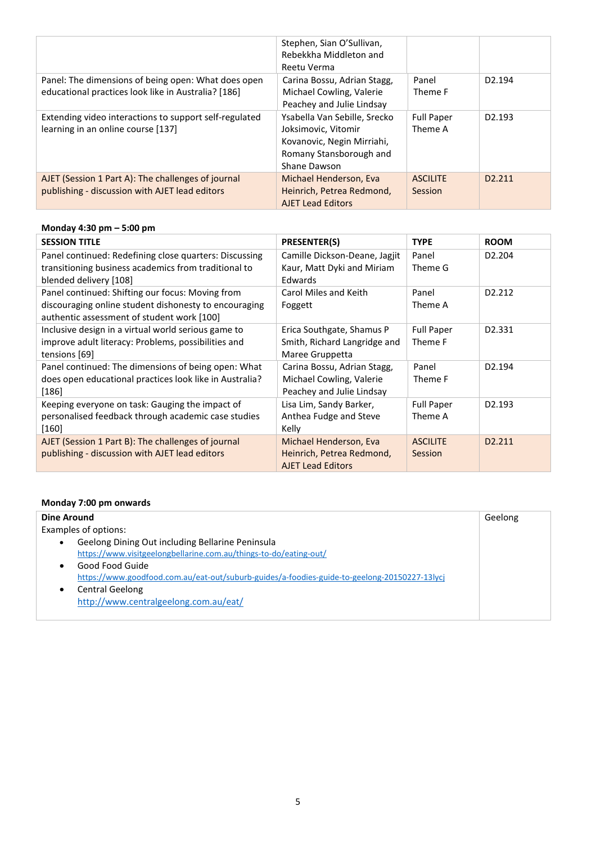|                                                                                                            | Stephen, Sian O'Sullivan,<br>Rebekkha Middleton and<br>Reetu Verma                                                           |                                   |                     |
|------------------------------------------------------------------------------------------------------------|------------------------------------------------------------------------------------------------------------------------------|-----------------------------------|---------------------|
| Panel: The dimensions of being open: What does open<br>educational practices look like in Australia? [186] | Carina Bossu, Adrian Stagg,<br>Michael Cowling, Valerie<br>Peachey and Julie Lindsay                                         | Panel<br>Theme F                  | D <sub>2</sub> .194 |
| Extending video interactions to support self-regulated<br>learning in an online course [137]               | Ysabella Van Sebille, Srecko<br>Joksimovic, Vitomir<br>Kovanovic, Negin Mirriahi,<br>Romany Stansborough and<br>Shane Dawson | <b>Full Paper</b><br>Theme A      | D <sub>2.193</sub>  |
| AJET (Session 1 Part A): The challenges of journal<br>publishing - discussion with AJET lead editors       | Michael Henderson, Eva<br>Heinrich, Petrea Redmond,<br><b>AJET Lead Editors</b>                                              | <b>ASCILITE</b><br><b>Session</b> | D <sub>2</sub> .211 |

## **Monday 4:30 pm – 5:00 pm**

| <b>SESSION TITLE</b>                                    | <b>PRESENTER(S)</b>           | <b>TYPE</b>       | <b>ROOM</b>         |
|---------------------------------------------------------|-------------------------------|-------------------|---------------------|
| Panel continued: Redefining close quarters: Discussing  | Camille Dickson-Deane, Jagjit | Panel             | D <sub>2</sub> .204 |
| transitioning business academics from traditional to    | Kaur, Matt Dyki and Miriam    | Theme G           |                     |
| blended delivery [108]                                  | Edwards                       |                   |                     |
| Panel continued: Shifting our focus: Moving from        | Carol Miles and Keith         | Panel             | D <sub>2</sub> .212 |
| discouraging online student dishonesty to encouraging   | Foggett                       | Theme A           |                     |
| authentic assessment of student work [100]              |                               |                   |                     |
| Inclusive design in a virtual world serious game to     | Erica Southgate, Shamus P     | <b>Full Paper</b> | D <sub>2</sub> .331 |
| improve adult literacy: Problems, possibilities and     | Smith, Richard Langridge and  | Theme F           |                     |
| tensions [69]                                           | Maree Gruppetta               |                   |                     |
| Panel continued: The dimensions of being open: What     | Carina Bossu, Adrian Stagg,   | Panel             | D <sub>2</sub> .194 |
| does open educational practices look like in Australia? | Michael Cowling, Valerie      | Theme F           |                     |
| $[186]$                                                 | Peachey and Julie Lindsay     |                   |                     |
| Keeping everyone on task: Gauging the impact of         | Lisa Lim, Sandy Barker,       | <b>Full Paper</b> | D <sub>2</sub> .193 |
| personalised feedback through academic case studies     | Anthea Fudge and Steve        | Theme A           |                     |
| $[160]$                                                 | Kelly                         |                   |                     |
| AJET (Session 1 Part B): The challenges of journal      | Michael Henderson, Eva        | <b>ASCILITE</b>   | D <sub>2.211</sub>  |
| publishing - discussion with AJET lead editors          | Heinrich, Petrea Redmond,     | Session           |                     |
|                                                         | <b>AJET Lead Editors</b>      |                   |                     |

# **Monday 7:00 pm onwards**

| Dine Around                                                                                  | Geelong |
|----------------------------------------------------------------------------------------------|---------|
| Examples of options:                                                                         |         |
| Geelong Dining Out including Bellarine Peninsula<br>$\bullet$                                |         |
| https://www.visitgeelongbellarine.com.au/things-to-do/eating-out/                            |         |
| Good Food Guide                                                                              |         |
| https://www.goodfood.com.au/eat-out/suburb-guides/a-foodies-guide-to-geelong-20150227-13lycj |         |
| <b>Central Geelong</b><br>٠                                                                  |         |
| http://www.centralgeelong.com.au/eat/                                                        |         |
|                                                                                              |         |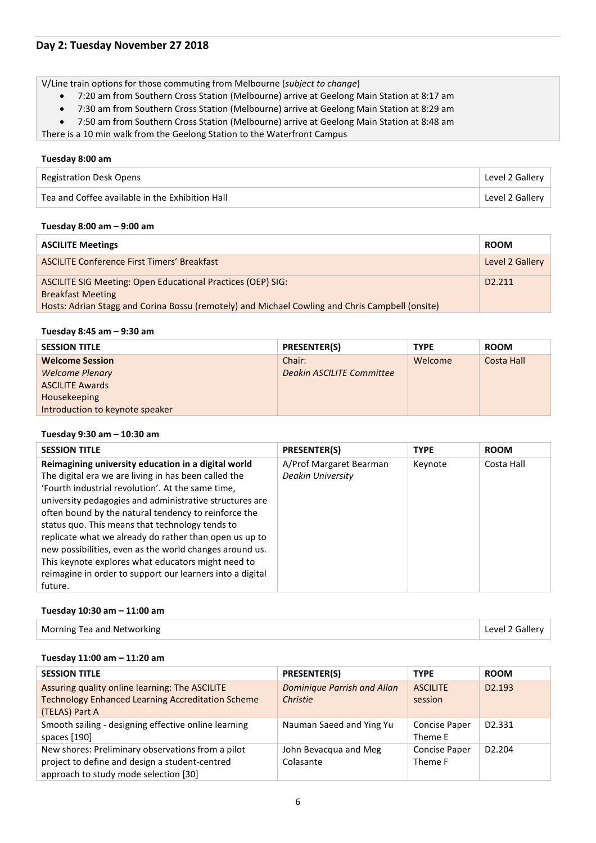# **Day 2: Tuesday November 27 2018**

V/Line train options for those commuting from Melbourne (*subject to change*)

- 7:20 am from Southern Cross Station (Melbourne) arrive at Geelong Main Station at 8:17 am
- 7:30 am from Southern Cross Station (Melbourne) arrive at Geelong Main Station at 8:29 am
- 7:50 am from Southern Cross Station (Melbourne) arrive at Geelong Main Station at 8:48 am

There is a 10 min walk from the Geelong Station to the Waterfront Campus

#### **Tuesday 8:00 am**

| <b>Registration Desk Opens</b>                  | Level 2 Gallery |
|-------------------------------------------------|-----------------|
| Tea and Coffee available in the Exhibition Hall | Level 2 Gallery |

#### **Tuesday 8:00 am – 9:00 am**

| <b>ASCILITE Meetings</b>                                                                        | <b>ROOM</b>        |
|-------------------------------------------------------------------------------------------------|--------------------|
| <b>ASCILITE Conference First Timers' Breakfast</b>                                              | Level 2 Gallery    |
| ASCILITE SIG Meeting: Open Educational Practices (OEP) SIG:                                     | D <sub>2.211</sub> |
| <b>Breakfast Meeting</b>                                                                        |                    |
| Hosts: Adrian Stagg and Corina Bossu (remotely) and Michael Cowling and Chris Campbell (onsite) |                    |

#### **Tuesday 8:45 am – 9:30 am**

| <b>SESSION TITLE</b>            | <b>PRESENTER(S)</b>       | <b>TYPE</b> | <b>ROOM</b> |
|---------------------------------|---------------------------|-------------|-------------|
| <b>Welcome Session</b>          | Chair:                    | Welcome     | Costa Hall  |
| <b>Welcome Plenary</b>          | Deakin ASCILITE Committee |             |             |
| <b>ASCILITE Awards</b>          |                           |             |             |
| Housekeeping                    |                           |             |             |
| Introduction to keynote speaker |                           |             |             |

#### **Tuesday 9:30 am – 10:30 am**

| <b>SESSION TITLE</b>                                      | <b>PRESENTER(S)</b>     | <b>TYPE</b> | <b>ROOM</b> |
|-----------------------------------------------------------|-------------------------|-------------|-------------|
| Reimagining university education in a digital world       | A/Prof Margaret Bearman | Keynote     | Costa Hall  |
| The digital era we are living in has been called the      | Deakin University       |             |             |
| 'Fourth industrial revolution'. At the same time,         |                         |             |             |
| university pedagogies and administrative structures are   |                         |             |             |
| often bound by the natural tendency to reinforce the      |                         |             |             |
| status quo. This means that technology tends to           |                         |             |             |
| replicate what we already do rather than open us up to    |                         |             |             |
| new possibilities, even as the world changes around us.   |                         |             |             |
| This keynote explores what educators might need to        |                         |             |             |
| reimagine in order to support our learners into a digital |                         |             |             |
| future.                                                   |                         |             |             |

#### **Tuesday 10:30 am – 11:00 am**

| Morning Tea and Networking | Level 2 Gallery |
|----------------------------|-----------------|
|----------------------------|-----------------|

#### **Tuesday 11:00 am – 11:20 am**

| <b>SESSION TITLE</b>                                                                                                                         | <b>PRESENTER(S)</b>                     | <b>TYPE</b>                     | <b>ROOM</b>         |
|----------------------------------------------------------------------------------------------------------------------------------------------|-----------------------------------------|---------------------------------|---------------------|
| Assuring quality online learning: The ASCILITE<br><b>Technology Enhanced Learning Accreditation Scheme</b><br>(TELAS) Part A                 | Dominique Parrish and Allan<br>Christie | <b>ASCILITE</b><br>session      | D <sub>2.193</sub>  |
| Smooth sailing - designing effective online learning<br>spaces [190]                                                                         | Nauman Saeed and Ying Yu                | <b>Concise Paper</b><br>Theme E | D <sub>2</sub> .331 |
| New shores: Preliminary observations from a pilot<br>project to define and design a student-centred<br>approach to study mode selection [30] | John Bevacqua and Meg<br>Colasante      | <b>Concise Paper</b><br>Theme F | D <sub>2.204</sub>  |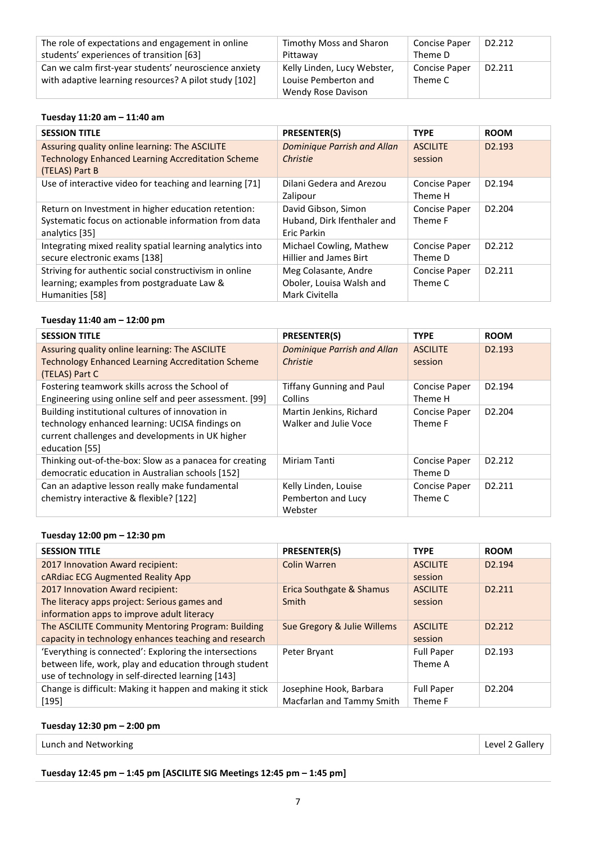| The role of expectations and engagement in online     | Timothy Moss and Sharon     | <b>Concise Paper</b> | D <sub>2</sub> .212 |
|-------------------------------------------------------|-----------------------------|----------------------|---------------------|
| students' experiences of transition [63]              | Pittaway                    | Theme D              |                     |
| Can we calm first-year students' neuroscience anxiety | Kelly Linden, Lucy Webster, | Concise Paper        | D2.211              |
| with adaptive learning resources? A pilot study [102] | Louise Pemberton and        | Theme C              |                     |
|                                                       | Wendy Rose Davison          |                      |                     |

# **Tuesday 11:20 am – 11:40 am**

| <b>SESSION TITLE</b>                                                                                                          | <b>PRESENTER(S)</b>                                                | <b>TYPE</b>                     | <b>ROOM</b>         |
|-------------------------------------------------------------------------------------------------------------------------------|--------------------------------------------------------------------|---------------------------------|---------------------|
| Assuring quality online learning: The ASCILITE<br><b>Technology Enhanced Learning Accreditation Scheme</b><br>(TELAS) Part B  | Dominique Parrish and Allan<br>Christie                            | <b>ASCILITE</b><br>session      | D <sub>2</sub> .193 |
| Use of interactive video for teaching and learning [71]                                                                       | Dilani Gedera and Arezou<br>Zalipour                               | Concise Paper<br>Theme H        | D2.194              |
| Return on Investment in higher education retention:<br>Systematic focus on actionable information from data<br>analytics [35] | David Gibson, Simon<br>Huband, Dirk Ifenthaler and<br>Eric Parkin  | Concise Paper<br>Theme F        | D <sub>2</sub> .204 |
| Integrating mixed reality spatial learning analytics into<br>secure electronic exams [138]                                    | Michael Cowling, Mathew<br><b>Hillier and James Birt</b>           | <b>Concise Paper</b><br>Theme D | D <sub>2</sub> .212 |
| Striving for authentic social constructivism in online<br>learning; examples from postgraduate Law &<br>Humanities [58]       | Meg Colasante, Andre<br>Oboler, Louisa Walsh and<br>Mark Civitella | Concise Paper<br>Theme C        | D2.211              |

### **Tuesday 11:40 am – 12:00 pm**

| <b>SESSION TITLE</b>                                                                                                                                                      | <b>PRESENTER(S)</b>                                   | <b>TYPE</b>                     | <b>ROOM</b>         |
|---------------------------------------------------------------------------------------------------------------------------------------------------------------------------|-------------------------------------------------------|---------------------------------|---------------------|
| Assuring quality online learning: The ASCILITE<br><b>Technology Enhanced Learning Accreditation Scheme</b><br>(TELAS) Part C                                              | Dominique Parrish and Allan<br>Christie               | <b>ASCILITE</b><br>session      | D <sub>2</sub> .193 |
| Fostering teamwork skills across the School of<br>Engineering using online self and peer assessment. [99]                                                                 | <b>Tiffany Gunning and Paul</b><br>Collins            | Concise Paper<br>Theme H        | D <sub>2</sub> .194 |
| Building institutional cultures of innovation in<br>technology enhanced learning: UCISA findings on<br>current challenges and developments in UK higher<br>education [55] | Martin Jenkins, Richard<br>Walker and Julie Voce      | <b>Concise Paper</b><br>Theme F | D <sub>2.204</sub>  |
| Thinking out-of-the-box: Slow as a panacea for creating<br>democratic education in Australian schools [152]                                                               | Miriam Tanti                                          | Concise Paper<br>Theme D        | D <sub>2</sub> .212 |
| Can an adaptive lesson really make fundamental<br>chemistry interactive & flexible? [122]                                                                                 | Kelly Linden, Louise<br>Pemberton and Lucy<br>Webster | <b>Concise Paper</b><br>Theme C | D <sub>2</sub> .211 |

### **Tuesday 12:00 pm – 12:30 pm**

| <b>SESSION TITLE</b>                                      | <b>PRESENTER(S)</b>         | <b>TYPE</b>       | <b>ROOM</b>         |
|-----------------------------------------------------------|-----------------------------|-------------------|---------------------|
| 2017 Innovation Award recipient:                          | <b>Colin Warren</b>         | <b>ASCILITE</b>   | D <sub>2.194</sub>  |
| cARdiac ECG Augmented Reality App                         |                             | session           |                     |
| 2017 Innovation Award recipient:                          | Erica Southgate & Shamus    | <b>ASCILITE</b>   | D <sub>2.211</sub>  |
| The literacy apps project: Serious games and              | Smith                       | session           |                     |
| information apps to improve adult literacy                |                             |                   |                     |
| The ASCILITE Community Mentoring Program: Building        | Sue Gregory & Julie Willems | <b>ASCILITE</b>   | D <sub>2</sub> .212 |
| capacity in technology enhances teaching and research     |                             | session           |                     |
| 'Everything is connected': Exploring the intersections    | Peter Bryant                | <b>Full Paper</b> | D <sub>2.193</sub>  |
| between life, work, play and education through student    |                             | Theme A           |                     |
| use of technology in self-directed learning [143]         |                             |                   |                     |
| Change is difficult: Making it happen and making it stick | Josephine Hook, Barbara     | <b>Full Paper</b> | D <sub>2</sub> .204 |
| [195]                                                     | Macfarlan and Tammy Smith   | Theme F           |                     |

## **Tuesday 12:30 pm – 2:00 pm**

Lunch and Networking **Level 2 Gallery Level 2 Gallery** 

**Tuesday 12:45 pm – 1:45 pm [ASCILITE SIG Meetings 12:45 pm – 1:45 pm]**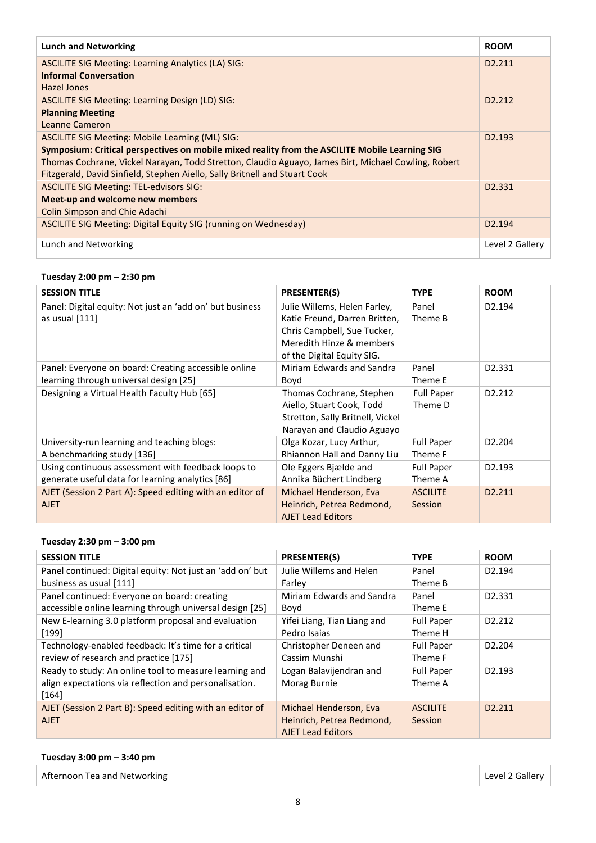| <b>Lunch and Networking</b>                                                                         | <b>ROOM</b>                     |
|-----------------------------------------------------------------------------------------------------|---------------------------------|
| ASCILITE SIG Meeting: Learning Analytics (LA) SIG:                                                  | D <sub>2</sub> .211             |
| <b>Informal Conversation</b>                                                                        |                                 |
| Hazel Jones                                                                                         |                                 |
| ASCILITE SIG Meeting: Learning Design (LD) SIG:                                                     | D <sub>2</sub> .21 <sub>2</sub> |
| <b>Planning Meeting</b>                                                                             |                                 |
| Leanne Cameron                                                                                      |                                 |
| ASCILITE SIG Meeting: Mobile Learning (ML) SIG:                                                     | D <sub>2</sub> .193             |
| Symposium: Critical perspectives on mobile mixed reality from the ASCILITE Mobile Learning SIG      |                                 |
| Thomas Cochrane, Vickel Narayan, Todd Stretton, Claudio Aguayo, James Birt, Michael Cowling, Robert |                                 |
| Fitzgerald, David Sinfield, Stephen Aiello, Sally Britnell and Stuart Cook                          |                                 |
| <b>ASCILITE SIG Meeting: TEL-edvisors SIG:</b>                                                      | D <sub>2</sub> .331             |
| Meet-up and welcome new members                                                                     |                                 |
| <b>Colin Simpson and Chie Adachi</b>                                                                |                                 |
| ASCILITE SIG Meeting: Digital Equity SIG (running on Wednesday)                                     | D <sub>2</sub> .194             |
| Lunch and Networking                                                                                | Level 2 Gallery                 |

# **Tuesday 2:00 pm – 2:30 pm**

| <b>SESSION TITLE</b>                                     | <b>PRESENTER(S)</b>              | <b>TYPE</b>       | <b>ROOM</b>         |
|----------------------------------------------------------|----------------------------------|-------------------|---------------------|
| Panel: Digital equity: Not just an 'add on' but business | Julie Willems, Helen Farley,     | Panel             | D <sub>2.194</sub>  |
| as usual $[111]$                                         | Katie Freund, Darren Britten,    | Theme B           |                     |
|                                                          | Chris Campbell, Sue Tucker,      |                   |                     |
|                                                          | Meredith Hinze & members         |                   |                     |
|                                                          | of the Digital Equity SIG.       |                   |                     |
| Panel: Everyone on board: Creating accessible online     | Miriam Edwards and Sandra        | Panel             | D <sub>2</sub> .331 |
| learning through universal design [25]                   | Boyd                             | Theme E           |                     |
| Designing a Virtual Health Faculty Hub [65]              | Thomas Cochrane, Stephen         | <b>Full Paper</b> | D <sub>2</sub> .212 |
|                                                          | Aiello, Stuart Cook, Todd        | Theme D           |                     |
|                                                          | Stretton, Sally Britnell, Vickel |                   |                     |
|                                                          | Narayan and Claudio Aguayo       |                   |                     |
| University-run learning and teaching blogs:              | Olga Kozar, Lucy Arthur,         | <b>Full Paper</b> | D <sub>2</sub> .204 |
| A benchmarking study [136]                               | Rhiannon Hall and Danny Liu      | Theme F           |                     |
| Using continuous assessment with feedback loops to       | Ole Eggers Bjælde and            | <b>Full Paper</b> | D <sub>2</sub> .193 |
| generate useful data for learning analytics [86]         | Annika Büchert Lindberg          | Theme A           |                     |
| AJET (Session 2 Part A): Speed editing with an editor of | Michael Henderson, Eva           | <b>ASCILITE</b>   | D <sub>2</sub> .211 |
| <b>AJET</b>                                              | Heinrich, Petrea Redmond,        | Session           |                     |
|                                                          | <b>AJET Lead Editors</b>         |                   |                     |

# **Tuesday 2:30 pm – 3:00 pm**

| <b>SESSION TITLE</b>                                      | <b>PRESENTER(S)</b>         | <b>TYPE</b>       | <b>ROOM</b>         |
|-----------------------------------------------------------|-----------------------------|-------------------|---------------------|
| Panel continued: Digital equity: Not just an 'add on' but | Julie Willems and Helen     | Panel             | D <sub>2</sub> .194 |
| business as usual [111]                                   | Farley                      | Theme B           |                     |
| Panel continued: Everyone on board: creating              | Miriam Edwards and Sandra   | Panel             | D <sub>2</sub> .331 |
| accessible online learning through universal design [25]  | Boyd                        | Theme E           |                     |
| New E-learning 3.0 platform proposal and evaluation       | Yifei Liang, Tian Liang and | <b>Full Paper</b> | D <sub>2</sub> .212 |
| [199]                                                     | Pedro Isaias                | Theme H           |                     |
| Technology-enabled feedback: It's time for a critical     | Christopher Deneen and      | <b>Full Paper</b> | D <sub>2</sub> .204 |
| review of research and practice [175]                     | Cassim Munshi               | Theme F           |                     |
| Ready to study: An online tool to measure learning and    | Logan Balavijendran and     | <b>Full Paper</b> | D <sub>2.193</sub>  |
| align expectations via reflection and personalisation.    | Morag Burnie                | Theme A           |                     |
| [164]                                                     |                             |                   |                     |
| AJET (Session 2 Part B): Speed editing with an editor of  | Michael Henderson, Eva      | <b>ASCILITE</b>   | D <sub>2</sub> .211 |
| <b>AJET</b>                                               | Heinrich, Petrea Redmond,   | Session           |                     |
|                                                           | <b>AJET Lead Editors</b>    |                   |                     |

## **Tuesday 3:00 pm – 3:40 pm**

| Afternoon Tea and Networking | Level 2 Gallery |
|------------------------------|-----------------|
|------------------------------|-----------------|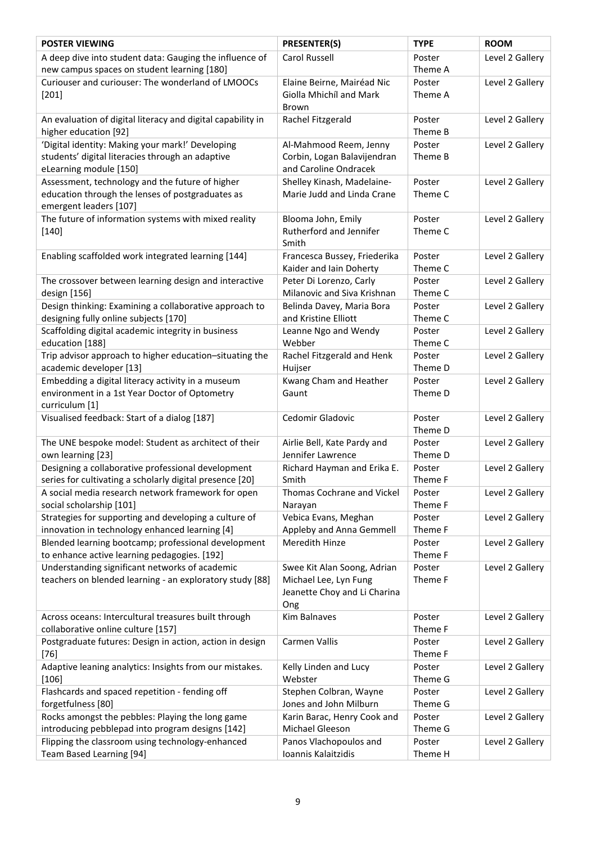| <b>POSTER VIEWING</b>                                                             | <b>PRESENTER(S)</b>                                     | <b>TYPE</b>       | <b>ROOM</b>     |
|-----------------------------------------------------------------------------------|---------------------------------------------------------|-------------------|-----------------|
| A deep dive into student data: Gauging the influence of                           | <b>Carol Russell</b>                                    | Poster            | Level 2 Gallery |
| new campus spaces on student learning [180]                                       |                                                         | Theme A           |                 |
| Curiouser and curiouser: The wonderland of LMOOCs<br>$[201]$                      | Elaine Beirne, Mairéad Nic<br>Giolla Mhichíl and Mark   | Poster<br>Theme A | Level 2 Gallery |
|                                                                                   | <b>Brown</b>                                            |                   |                 |
| An evaluation of digital literacy and digital capability in                       | Rachel Fitzgerald                                       | Poster            | Level 2 Gallery |
| higher education [92]                                                             |                                                         | Theme B           |                 |
| 'Digital identity: Making your mark!' Developing                                  | Al-Mahmood Reem, Jenny                                  | Poster            | Level 2 Gallery |
| students' digital literacies through an adaptive                                  | Corbin, Logan Balavijendran                             | Theme B           |                 |
| eLearning module [150]<br>Assessment, technology and the future of higher         | and Caroline Ondracek<br>Shelley Kinash, Madelaine-     | Poster            | Level 2 Gallery |
| education through the lenses of postgraduates as                                  | Marie Judd and Linda Crane                              | Theme C           |                 |
| emergent leaders [107]                                                            |                                                         |                   |                 |
| The future of information systems with mixed reality                              | Blooma John, Emily                                      | Poster            | Level 2 Gallery |
| $[140]$                                                                           | Rutherford and Jennifer                                 | Theme C           |                 |
| Enabling scaffolded work integrated learning [144]                                | Smith                                                   | Poster            | Level 2 Gallery |
|                                                                                   | Francesca Bussey, Friederika<br>Kaider and Iain Doherty | Theme C           |                 |
| The crossover between learning design and interactive                             | Peter Di Lorenzo, Carly                                 | Poster            | Level 2 Gallery |
| design [156]                                                                      | Milanovic and Siva Krishnan                             | Theme C           |                 |
| Design thinking: Examining a collaborative approach to                            | Belinda Davey, Maria Bora                               | Poster            | Level 2 Gallery |
| designing fully online subjects [170]                                             | and Kristine Elliott                                    | Theme C           |                 |
| Scaffolding digital academic integrity in business                                | Leanne Ngo and Wendy                                    | Poster            | Level 2 Gallery |
| education [188]<br>Trip advisor approach to higher education-situating the        | Webber<br>Rachel Fitzgerald and Henk                    | Theme C<br>Poster | Level 2 Gallery |
| academic developer [13]                                                           | Huijser                                                 | Theme D           |                 |
| Embedding a digital literacy activity in a museum                                 | Kwang Cham and Heather                                  | Poster            | Level 2 Gallery |
| environment in a 1st Year Doctor of Optometry                                     | Gaunt                                                   | Theme D           |                 |
| curriculum [1]                                                                    |                                                         |                   |                 |
| Visualised feedback: Start of a dialog [187]                                      | Cedomir Gladovic                                        | Poster<br>Theme D | Level 2 Gallery |
| The UNE bespoke model: Student as architect of their                              | Airlie Bell, Kate Pardy and                             | Poster            | Level 2 Gallery |
| own learning [23]                                                                 | Jennifer Lawrence                                       | Theme D           |                 |
| Designing a collaborative professional development                                | Richard Hayman and Erika E.                             | Poster            | Level 2 Gallery |
| series for cultivating a scholarly digital presence [20]                          | Smith                                                   | Theme F           |                 |
| A social media research network framework for open                                | Thomas Cochrane and Vickel                              | Poster            | Level 2 Gallery |
| social scholarship [101]<br>Strategies for supporting and developing a culture of | Narayan<br>Vebica Evans, Meghan                         | Theme F<br>Poster | Level 2 Gallery |
| innovation in technology enhanced learning [4]                                    | Appleby and Anna Gemmell                                | Theme F           |                 |
| Blended learning bootcamp; professional development                               | Meredith Hinze                                          | Poster            | Level 2 Gallery |
| to enhance active learning pedagogies. [192]                                      |                                                         | Theme F           |                 |
| Understanding significant networks of academic                                    | Swee Kit Alan Soong, Adrian                             | Poster            | Level 2 Gallery |
| teachers on blended learning - an exploratory study [88]                          | Michael Lee, Lyn Fung                                   | Theme F           |                 |
|                                                                                   | Jeanette Choy and Li Charina<br>Ong                     |                   |                 |
| Across oceans: Intercultural treasures built through                              | Kim Balnaves                                            | Poster            | Level 2 Gallery |
| collaborative online culture [157]                                                |                                                         | Theme F           |                 |
| Postgraduate futures: Design in action, action in design                          | Carmen Vallis                                           | Poster            | Level 2 Gallery |
| $[76]$                                                                            |                                                         | Theme F           |                 |
| Adaptive leaning analytics: Insights from our mistakes.<br>$[106]$                | Kelly Linden and Lucy<br>Webster                        | Poster<br>Theme G | Level 2 Gallery |
| Flashcards and spaced repetition - fending off                                    | Stephen Colbran, Wayne                                  | Poster            | Level 2 Gallery |
| forgetfulness [80]                                                                | Jones and John Milburn                                  | Theme G           |                 |
| Rocks amongst the pebbles: Playing the long game                                  | Karin Barac, Henry Cook and                             | Poster            | Level 2 Gallery |
| introducing pebblepad into program designs [142]                                  | Michael Gleeson                                         | Theme G           |                 |
| Flipping the classroom using technology-enhanced                                  | Panos Vlachopoulos and                                  | Poster            | Level 2 Gallery |
| Team Based Learning [94]                                                          | Ioannis Kalaitzidis                                     | Theme H           |                 |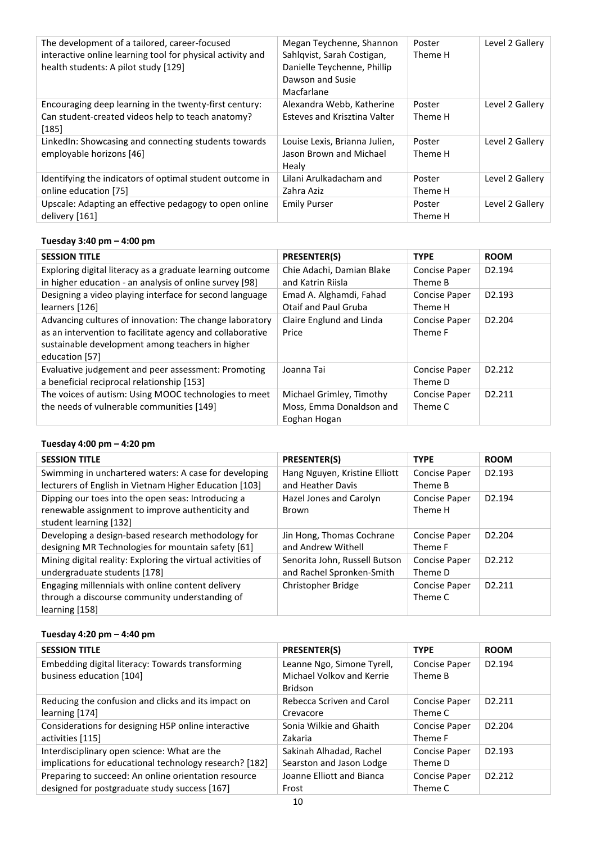| The development of a tailored, career-focused<br>interactive online learning tool for physical activity and<br>health students: A pilot study [129] | Megan Teychenne, Shannon<br>Sahlqvist, Sarah Costigan,<br>Danielle Teychenne, Phillip<br>Dawson and Susie<br>Macfarlane | Poster<br>Theme H | Level 2 Gallery |
|-----------------------------------------------------------------------------------------------------------------------------------------------------|-------------------------------------------------------------------------------------------------------------------------|-------------------|-----------------|
| Encouraging deep learning in the twenty-first century:<br>Can student-created videos help to teach anatomy?<br>$[185]$                              | Alexandra Webb, Katherine<br>Esteves and Krisztina Valter                                                               | Poster<br>Theme H | Level 2 Gallery |
| LinkedIn: Showcasing and connecting students towards<br>employable horizons [46]                                                                    | Louise Lexis, Brianna Julien,<br>Jason Brown and Michael<br>Healy                                                       | Poster<br>Theme H | Level 2 Gallery |
| Identifying the indicators of optimal student outcome in<br>online education [75]                                                                   | Lilani Arulkadacham and<br>Zahra Aziz                                                                                   | Poster<br>Theme H | Level 2 Gallery |
| Upscale: Adapting an effective pedagogy to open online<br>delivery [161]                                                                            | <b>Emily Purser</b>                                                                                                     | Poster<br>Theme H | Level 2 Gallery |

# **Tuesday 3:40 pm – 4:00 pm**

| <b>SESSION TITLE</b>                                                                                                                                                                       | <b>PRESENTER(S)</b>                                                  | <b>TYPE</b>                     | <b>ROOM</b>         |
|--------------------------------------------------------------------------------------------------------------------------------------------------------------------------------------------|----------------------------------------------------------------------|---------------------------------|---------------------|
| Exploring digital literacy as a graduate learning outcome<br>in higher education - an analysis of online survey [98]                                                                       | Chie Adachi, Damian Blake<br>and Katrin Riisla                       | <b>Concise Paper</b><br>Theme B | D <sub>2.194</sub>  |
| Designing a video playing interface for second language<br>learners [126]                                                                                                                  | Emad A. Alghamdi, Fahad<br>Otaif and Paul Gruba                      | <b>Concise Paper</b><br>Theme H | D <sub>2.193</sub>  |
| Advancing cultures of innovation: The change laboratory<br>as an intervention to facilitate agency and collaborative<br>sustainable development among teachers in higher<br>education [57] | Claire Englund and Linda<br>Price                                    | <b>Concise Paper</b><br>Theme F | D <sub>2.204</sub>  |
| Evaluative judgement and peer assessment: Promoting<br>a beneficial reciprocal relationship [153]                                                                                          | Joanna Tai                                                           | Concise Paper<br>Theme D        | D <sub>2</sub> .212 |
| The voices of autism: Using MOOC technologies to meet<br>the needs of vulnerable communities [149]                                                                                         | Michael Grimley, Timothy<br>Moss, Emma Donaldson and<br>Eoghan Hogan | <b>Concise Paper</b><br>Theme C | D <sub>2</sub> .211 |

# **Tuesday 4:00 pm – 4:20 pm**

| <b>SESSION TITLE</b>                                                                                                             | <b>PRESENTER(S)</b>                     | <b>TYPE</b>                     | <b>ROOM</b>         |
|----------------------------------------------------------------------------------------------------------------------------------|-----------------------------------------|---------------------------------|---------------------|
| Swimming in unchartered waters: A case for developing                                                                            | Hang Nguyen, Kristine Elliott           | <b>Concise Paper</b>            | D <sub>2.193</sub>  |
| lecturers of English in Vietnam Higher Education [103]                                                                           | and Heather Davis                       | Theme B                         |                     |
| Dipping our toes into the open seas: Introducing a<br>renewable assignment to improve authenticity and<br>student learning [132] | Hazel Jones and Carolyn<br><b>Brown</b> | Concise Paper<br>Theme H        | D <sub>2.194</sub>  |
| Developing a design-based research methodology for                                                                               | Jin Hong, Thomas Cochrane               | <b>Concise Paper</b>            | D <sub>2.204</sub>  |
| designing MR Technologies for mountain safety [61]                                                                               | and Andrew Withell                      | Theme F                         |                     |
| Mining digital reality: Exploring the virtual activities of                                                                      | Senorita John, Russell Butson           | <b>Concise Paper</b>            | D <sub>2</sub> .212 |
| undergraduate students [178]                                                                                                     | and Rachel Spronken-Smith               | Theme D                         |                     |
| Engaging millennials with online content delivery<br>through a discourse community understanding of<br>learning [158]            | Christopher Bridge                      | <b>Concise Paper</b><br>Theme C | D <sub>2</sub> .211 |

# **Tuesday 4:20 pm – 4:40 pm**

| <b>SESSION TITLE</b>                                    | <b>PRESENTER(S)</b>        | <b>TYPE</b>          | <b>ROOM</b>         |
|---------------------------------------------------------|----------------------------|----------------------|---------------------|
| Embedding digital literacy: Towards transforming        | Leanne Ngo, Simone Tyrell, | <b>Concise Paper</b> | D <sub>2.194</sub>  |
| business education [104]                                | Michael Volkov and Kerrie  | Theme B              |                     |
|                                                         | <b>Bridson</b>             |                      |                     |
| Reducing the confusion and clicks and its impact on     | Rebecca Scriven and Carol  | <b>Concise Paper</b> | D <sub>2.211</sub>  |
| learning [174]                                          | Crevacore                  | Theme C              |                     |
| Considerations for designing H5P online interactive     | Sonia Wilkie and Ghaith    | <b>Concise Paper</b> | D <sub>2.204</sub>  |
| activities [115]                                        | Zakaria                    | Theme F              |                     |
| Interdisciplinary open science: What are the            | Sakinah Alhadad, Rachel    | <b>Concise Paper</b> | D <sub>2.193</sub>  |
| implications for educational technology research? [182] | Searston and Jason Lodge   | Theme D              |                     |
| Preparing to succeed: An online orientation resource    | Joanne Elliott and Bianca  | <b>Concise Paper</b> | D <sub>2</sub> .212 |
| designed for postgraduate study success [167]           | Frost                      | Theme C              |                     |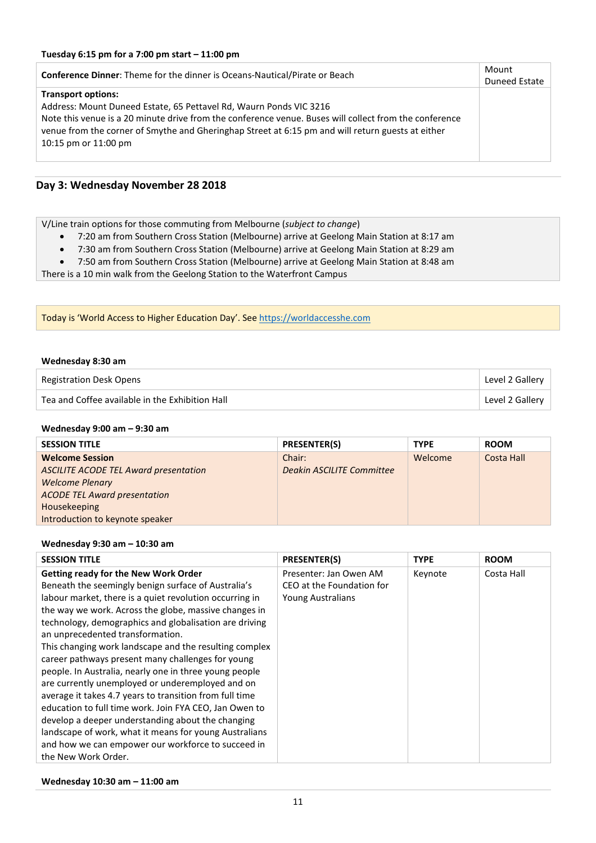### **Tuesday 6:15 pm for a 7:00 pm start – 11:00 pm**

| <b>Conference Dinner:</b> Theme for the dinner is Oceans-Nautical/Pirate or Beach                                                                                                                                                                                                                                                      |  |
|----------------------------------------------------------------------------------------------------------------------------------------------------------------------------------------------------------------------------------------------------------------------------------------------------------------------------------------|--|
| <b>Transport options:</b><br>Address: Mount Duneed Estate, 65 Pettavel Rd, Waurn Ponds VIC 3216<br>Note this venue is a 20 minute drive from the conference venue. Buses will collect from the conference<br>venue from the corner of Smythe and Gheringhap Street at 6:15 pm and will return guests at either<br>10:15 pm or 11:00 pm |  |

# **Day 3: Wednesday November 28 2018**

V/Line train options for those commuting from Melbourne (*subject to change*)

- 7:20 am from Southern Cross Station (Melbourne) arrive at Geelong Main Station at 8:17 am
- 7:30 am from Southern Cross Station (Melbourne) arrive at Geelong Main Station at 8:29 am
- 7:50 am from Southern Cross Station (Melbourne) arrive at Geelong Main Station at 8:48 am

There is a 10 min walk from the Geelong Station to the Waterfront Campus

Today is 'World Access to Higher Education Day'. See [https://worldaccesshe.com](https://worldaccesshe.com/)

#### **Wednesday 8:30 am**

| <b>Registration Desk Opens</b>                  | Level 2 Gallery |
|-------------------------------------------------|-----------------|
| Tea and Coffee available in the Exhibition Hall | Level 2 Gallery |

#### **Wednesday 9:00 am – 9:30 am**

| <b>SESSION TITLE</b>                         | <b>PRESENTER(S)</b>              | <b>TYPE</b> | <b>ROOM</b> |
|----------------------------------------------|----------------------------------|-------------|-------------|
| <b>Welcome Session</b>                       | Chair:                           | Welcome     | Costa Hall  |
| <b>ASCILITE ACODE TEL Award presentation</b> | <b>Deakin ASCILITE Committee</b> |             |             |
| <b>Welcome Plenary</b>                       |                                  |             |             |
| <b>ACODE TEL Award presentation</b>          |                                  |             |             |
| Housekeeping                                 |                                  |             |             |
| Introduction to keynote speaker              |                                  |             |             |

#### **Wednesday 9:30 am – 10:30 am**

| <b>SESSION TITLE</b>                                                                                                                                                                                                                                                                                                                                                                                                                                                                                                                                                                                                                                                                                                                                                                                                                                        | <b>PRESENTER(S)</b>                                                             | <b>TYPE</b> | <b>ROOM</b> |
|-------------------------------------------------------------------------------------------------------------------------------------------------------------------------------------------------------------------------------------------------------------------------------------------------------------------------------------------------------------------------------------------------------------------------------------------------------------------------------------------------------------------------------------------------------------------------------------------------------------------------------------------------------------------------------------------------------------------------------------------------------------------------------------------------------------------------------------------------------------|---------------------------------------------------------------------------------|-------------|-------------|
| Getting ready for the New Work Order<br>Beneath the seemingly benign surface of Australia's<br>labour market, there is a quiet revolution occurring in<br>the way we work. Across the globe, massive changes in<br>technology, demographics and globalisation are driving<br>an unprecedented transformation.<br>This changing work landscape and the resulting complex<br>career pathways present many challenges for young<br>people. In Australia, nearly one in three young people<br>are currently unemployed or underemployed and on<br>average it takes 4.7 years to transition from full time<br>education to full time work. Join FYA CEO, Jan Owen to<br>develop a deeper understanding about the changing<br>landscape of work, what it means for young Australians<br>and how we can empower our workforce to succeed in<br>the New Work Order. | Presenter: Jan Owen AM<br>CEO at the Foundation for<br><b>Young Australians</b> | Keynote     | Costa Hall  |

### **Wednesday 10:30 am – 11:00 am**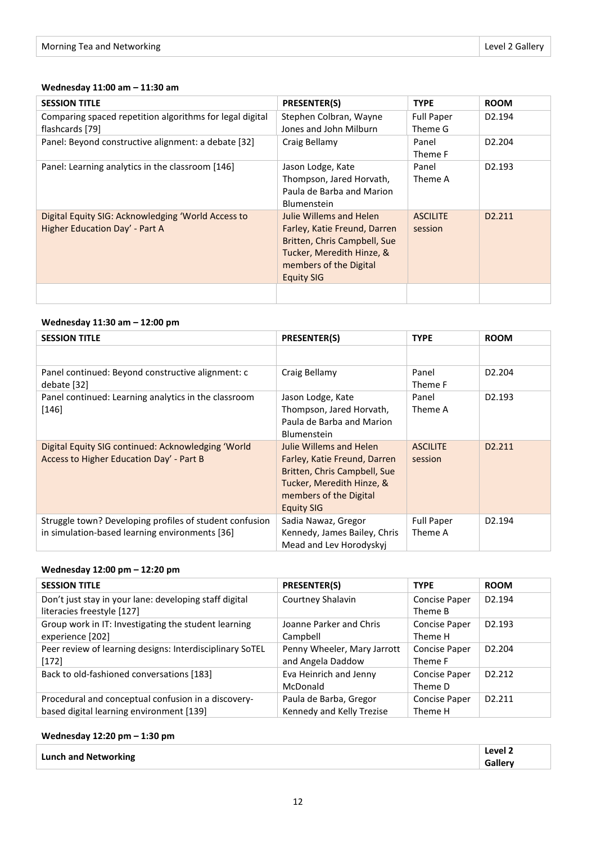## **Wednesday 11:00 am – 11:30 am**

| <b>SESSION TITLE</b>                                                                 | <b>PRESENTER(S)</b>                                                                                                                                                 | <b>TYPE</b>                  | <b>ROOM</b>         |
|--------------------------------------------------------------------------------------|---------------------------------------------------------------------------------------------------------------------------------------------------------------------|------------------------------|---------------------|
| Comparing spaced repetition algorithms for legal digital<br>flashcards [79]          | Stephen Colbran, Wayne<br>Jones and John Milburn                                                                                                                    | <b>Full Paper</b><br>Theme G | D <sub>2</sub> .194 |
| Panel: Beyond constructive alignment: a debate [32]                                  | Craig Bellamy                                                                                                                                                       | Panel<br>Theme F             | D <sub>2.204</sub>  |
| Panel: Learning analytics in the classroom [146]                                     | Jason Lodge, Kate<br>Thompson, Jared Horvath,<br>Paula de Barba and Marion<br><b>Blumenstein</b>                                                                    | Panel<br>Theme A             | D <sub>2</sub> .193 |
| Digital Equity SIG: Acknowledging 'World Access to<br>Higher Education Day' - Part A | Julie Willems and Helen<br>Farley, Katie Freund, Darren<br>Britten, Chris Campbell, Sue<br>Tucker, Meredith Hinze, &<br>members of the Digital<br><b>Equity SIG</b> | <b>ASCILITE</b><br>session   | D <sub>2.211</sub>  |
|                                                                                      |                                                                                                                                                                     |                              |                     |

# **Wednesday 11:30 am – 12:00 pm**

| <b>SESSION TITLE</b>                                                                                      | <b>PRESENTER(S)</b>                                                                                                                                                 | <b>TYPE</b>                  | <b>ROOM</b>         |
|-----------------------------------------------------------------------------------------------------------|---------------------------------------------------------------------------------------------------------------------------------------------------------------------|------------------------------|---------------------|
|                                                                                                           |                                                                                                                                                                     |                              |                     |
| Panel continued: Beyond constructive alignment: c<br>debate [32]                                          | Craig Bellamy                                                                                                                                                       | Panel<br>Theme F             | D <sub>2.204</sub>  |
| Panel continued: Learning analytics in the classroom<br>$[146]$                                           | Jason Lodge, Kate<br>Thompson, Jared Horvath,<br>Paula de Barba and Marion<br><b>Blumenstein</b>                                                                    | Panel<br>Theme A             | D <sub>2.193</sub>  |
| Digital Equity SIG continued: Acknowledging 'World<br>Access to Higher Education Day' - Part B            | Julie Willems and Helen<br>Farley, Katie Freund, Darren<br>Britten, Chris Campbell, Sue<br>Tucker, Meredith Hinze, &<br>members of the Digital<br><b>Equity SIG</b> | <b>ASCILITE</b><br>session   | D <sub>2</sub> .211 |
| Struggle town? Developing profiles of student confusion<br>in simulation-based learning environments [36] | Sadia Nawaz, Gregor<br>Kennedy, James Bailey, Chris<br>Mead and Lev Horodyskyj                                                                                      | <b>Full Paper</b><br>Theme A | D <sub>2</sub> .194 |

## **Wednesday 12:00 pm – 12:20 pm**

| <b>SESSION TITLE</b>                                     | <b>PRESENTER(S)</b>         | <b>TYPE</b>          | <b>ROOM</b>         |
|----------------------------------------------------------|-----------------------------|----------------------|---------------------|
| Don't just stay in your lane: developing staff digital   | Courtney Shalavin           | Concise Paper        | D <sub>2</sub> .194 |
| literacies freestyle [127]                               |                             | Theme B              |                     |
| Group work in IT: Investigating the student learning     | Joanne Parker and Chris     | <b>Concise Paper</b> | D <sub>2.193</sub>  |
| experience [202]                                         | Campbell                    | Theme H              |                     |
| Peer review of learning designs: Interdisciplinary SoTEL | Penny Wheeler, Mary Jarrott | Concise Paper        | D <sub>2.204</sub>  |
| $[172]$                                                  | and Angela Daddow           | Theme F              |                     |
| Back to old-fashioned conversations [183]                | Eva Heinrich and Jenny      | Concise Paper        | D <sub>2</sub> .212 |
|                                                          | McDonald                    | Theme D              |                     |
| Procedural and conceptual confusion in a discovery-      | Paula de Barba, Gregor      | <b>Concise Paper</b> | D <sub>2.211</sub>  |
| based digital learning environment [139]                 | Kennedy and Kelly Trezise   | Theme H              |                     |

### **Wednesday 12:20 pm – 1:30 pm**

|                             | Level 2 |
|-----------------------------|---------|
| <b>Lunch and Networking</b> |         |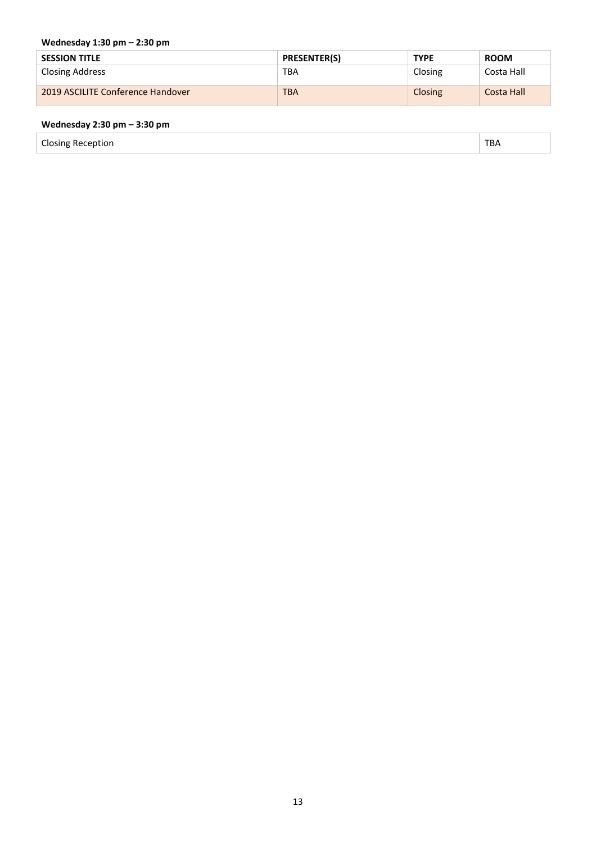## **Wednesday 1:30 pm – 2:30 pm**

| <b>SESSION TITLE</b>              | <b>PRESENTER(S)</b> | <b>TYPE</b> | <b>ROOM</b> |
|-----------------------------------|---------------------|-------------|-------------|
| <b>Closing Address</b>            | TBA                 | Closing     | Costa Hall  |
| 2019 ASCILITE Conference Handover | <b>TBA</b>          | Closing     | Costa Hall  |

## **Wednesday 2:30 pm – 3:30 pm**

| <b>Closing Reception</b> | $\tau$<br>BА |
|--------------------------|--------------|
|--------------------------|--------------|